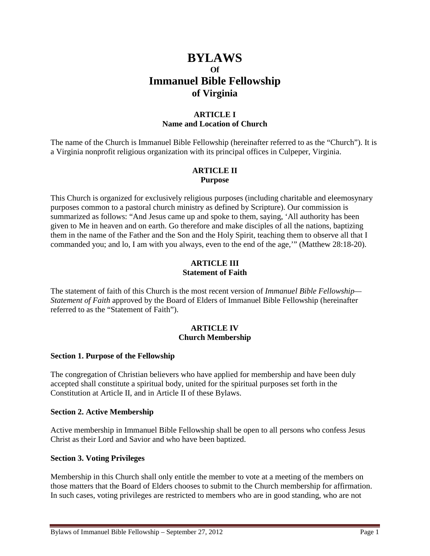# **BYLAWS Of Immanuel Bible Fellowship of Virginia**

# **ARTICLE I Name and Location of Church**

The name of the Church is Immanuel Bible Fellowship (hereinafter referred to as the "Church"). It is a Virginia nonprofit religious organization with its principal offices in Culpeper, Virginia.

### **ARTICLE II Purpose**

This Church is organized for exclusively religious purposes (including charitable and eleemosynary purposes common to a pastoral church ministry as defined by Scripture). Our commission is summarized as follows: "And Jesus came up and spoke to them, saying, 'All authority has been given to Me in heaven and on earth. Go therefore and make disciples of all the nations, baptizing them in the name of the Father and the Son and the Holy Spirit, teaching them to observe all that I commanded you; and lo, I am with you always, even to the end of the age,'" (Matthew 28:18-20).

# **ARTICLE III Statement of Faith**

The statement of faith of this Church is the most recent version of *Immanuel Bible Fellowship— Statement of Faith* approved by the Board of Elders of Immanuel Bible Fellowship (hereinafter referred to as the "Statement of Faith").

#### **ARTICLE IV Church Membership**

# **Section 1. Purpose of the Fellowship**

The congregation of Christian believers who have applied for membership and have been duly accepted shall constitute a spiritual body, united for the spiritual purposes set forth in the Constitution at Article II, and in Article II of these Bylaws.

# **Section 2. Active Membership**

Active membership in Immanuel Bible Fellowship shall be open to all persons who confess Jesus Christ as their Lord and Savior and who have been baptized.

# **Section 3. Voting Privileges**

Membership in this Church shall only entitle the member to vote at a meeting of the members on those matters that the Board of Elders chooses to submit to the Church membership for affirmation. In such cases, voting privileges are restricted to members who are in good standing, who are not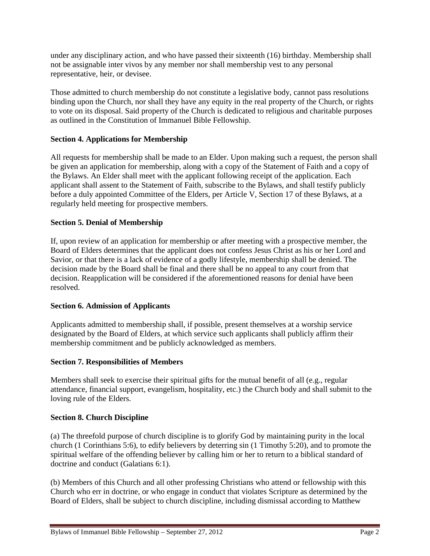under any disciplinary action, and who have passed their sixteenth (16) birthday. Membership shall not be assignable inter vivos by any member nor shall membership vest to any personal representative, heir, or devisee.

Those admitted to church membership do not constitute a legislative body, cannot pass resolutions binding upon the Church, nor shall they have any equity in the real property of the Church, or rights to vote on its disposal. Said property of the Church is dedicated to religious and charitable purposes as outlined in the Constitution of Immanuel Bible Fellowship.

# **Section 4. Applications for Membership**

All requests for membership shall be made to an Elder. Upon making such a request, the person shall be given an application for membership, along with a copy of the Statement of Faith and a copy of the Bylaws. An Elder shall meet with the applicant following receipt of the application. Each applicant shall assent to the Statement of Faith, subscribe to the Bylaws, and shall testify publicly before a duly appointed Committee of the Elders, per Article V, Section 17 of these Bylaws, at a regularly held meeting for prospective members.

# **Section 5. Denial of Membership**

If, upon review of an application for membership or after meeting with a prospective member, the Board of Elders determines that the applicant does not confess Jesus Christ as his or her Lord and Savior, or that there is a lack of evidence of a godly lifestyle, membership shall be denied. The decision made by the Board shall be final and there shall be no appeal to any court from that decision. Reapplication will be considered if the aforementioned reasons for denial have been resolved.

# **Section 6. Admission of Applicants**

Applicants admitted to membership shall, if possible, present themselves at a worship service designated by the Board of Elders, at which service such applicants shall publicly affirm their membership commitment and be publicly acknowledged as members.

# **Section 7. Responsibilities of Members**

Members shall seek to exercise their spiritual gifts for the mutual benefit of all (e.g., regular attendance, financial support, evangelism, hospitality, etc.) the Church body and shall submit to the loving rule of the Elders.

# **Section 8. Church Discipline**

(a) The threefold purpose of church discipline is to glorify God by maintaining purity in the local church (1 Corinthians 5:6), to edify believers by deterring sin (1 Timothy 5:20), and to promote the spiritual welfare of the offending believer by calling him or her to return to a biblical standard of doctrine and conduct (Galatians 6:1).

(b) Members of this Church and all other professing Christians who attend or fellowship with this Church who err in doctrine, or who engage in conduct that violates Scripture as determined by the Board of Elders, shall be subject to church discipline, including dismissal according to Matthew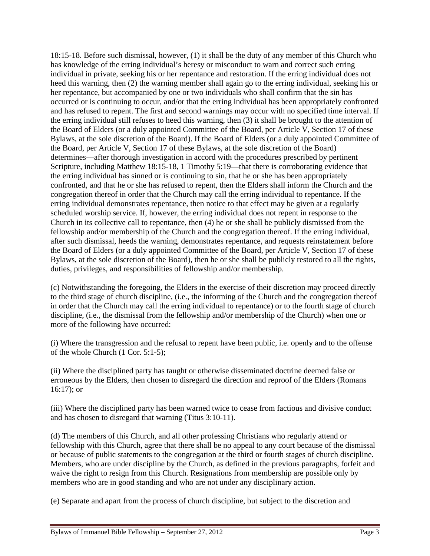18:15-18. Before such dismissal, however, (1) it shall be the duty of any member of this Church who has knowledge of the erring individual's heresy or misconduct to warn and correct such erring individual in private, seeking his or her repentance and restoration. If the erring individual does not heed this warning, then (2) the warning member shall again go to the erring individual, seeking his or her repentance, but accompanied by one or two individuals who shall confirm that the sin has occurred or is continuing to occur, and/or that the erring individual has been appropriately confronted and has refused to repent. The first and second warnings may occur with no specified time interval. If the erring individual still refuses to heed this warning, then (3) it shall be brought to the attention of the Board of Elders (or a duly appointed Committee of the Board, per Article V, Section 17 of these Bylaws, at the sole discretion of the Board). If the Board of Elders (or a duly appointed Committee of the Board, per Article V, Section 17 of these Bylaws, at the sole discretion of the Board) determines—after thorough investigation in accord with the procedures prescribed by pertinent Scripture, including Matthew 18:15-18, 1 Timothy 5:19—that there is corroborating evidence that the erring individual has sinned or is continuing to sin, that he or she has been appropriately confronted, and that he or she has refused to repent, then the Elders shall inform the Church and the congregation thereof in order that the Church may call the erring individual to repentance. If the erring individual demonstrates repentance, then notice to that effect may be given at a regularly scheduled worship service. If, however, the erring individual does not repent in response to the Church in its collective call to repentance, then (4) he or she shall be publicly dismissed from the fellowship and/or membership of the Church and the congregation thereof. If the erring individual, after such dismissal, heeds the warning, demonstrates repentance, and requests reinstatement before the Board of Elders (or a duly appointed Committee of the Board, per Article V, Section 17 of these Bylaws, at the sole discretion of the Board), then he or she shall be publicly restored to all the rights, duties, privileges, and responsibilities of fellowship and/or membership.

(c) Notwithstanding the foregoing, the Elders in the exercise of their discretion may proceed directly to the third stage of church discipline, (i.e., the informing of the Church and the congregation thereof in order that the Church may call the erring individual to repentance) or to the fourth stage of church discipline, (i.e., the dismissal from the fellowship and/or membership of the Church) when one or more of the following have occurred:

(i) Where the transgression and the refusal to repent have been public, i.e. openly and to the offense of the whole Church (1 Cor. 5:1-5);

(ii) Where the disciplined party has taught or otherwise disseminated doctrine deemed false or erroneous by the Elders, then chosen to disregard the direction and reproof of the Elders (Romans 16:17); or

(iii) Where the disciplined party has been warned twice to cease from factious and divisive conduct and has chosen to disregard that warning (Titus 3:10-11).

(d) The members of this Church, and all other professing Christians who regularly attend or fellowship with this Church, agree that there shall be no appeal to any court because of the dismissal or because of public statements to the congregation at the third or fourth stages of church discipline. Members, who are under discipline by the Church, as defined in the previous paragraphs, forfeit and waive the right to resign from this Church. Resignations from membership are possible only by members who are in good standing and who are not under any disciplinary action.

(e) Separate and apart from the process of church discipline, but subject to the discretion and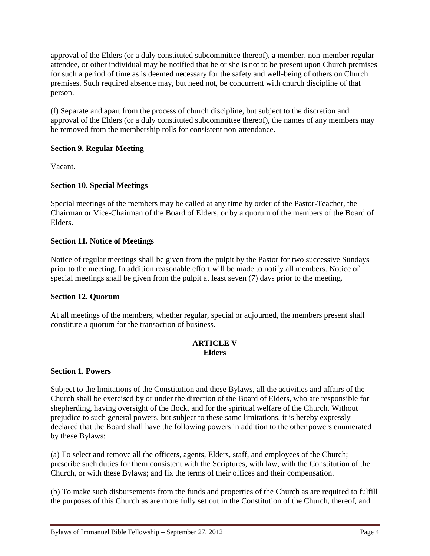approval of the Elders (or a duly constituted subcommittee thereof), a member, non-member regular attendee, or other individual may be notified that he or she is not to be present upon Church premises for such a period of time as is deemed necessary for the safety and well-being of others on Church premises. Such required absence may, but need not, be concurrent with church discipline of that person.

(f) Separate and apart from the process of church discipline, but subject to the discretion and approval of the Elders (or a duly constituted subcommittee thereof), the names of any members may be removed from the membership rolls for consistent non-attendance.

# **Section 9. Regular Meeting**

Vacant.

# **Section 10. Special Meetings**

Special meetings of the members may be called at any time by order of the Pastor-Teacher, the Chairman or Vice-Chairman of the Board of Elders, or by a quorum of the members of the Board of Elders.

# **Section 11. Notice of Meetings**

Notice of regular meetings shall be given from the pulpit by the Pastor for two successive Sundays prior to the meeting. In addition reasonable effort will be made to notify all members. Notice of special meetings shall be given from the pulpit at least seven (7) days prior to the meeting.

# **Section 12. Quorum**

At all meetings of the members, whether regular, special or adjourned, the members present shall constitute a quorum for the transaction of business.

# **ARTICLE V Elders**

# **Section 1. Powers**

Subject to the limitations of the Constitution and these Bylaws, all the activities and affairs of the Church shall be exercised by or under the direction of the Board of Elders, who are responsible for shepherding, having oversight of the flock, and for the spiritual welfare of the Church. Without prejudice to such general powers, but subject to these same limitations, it is hereby expressly declared that the Board shall have the following powers in addition to the other powers enumerated by these Bylaws:

(a) To select and remove all the officers, agents, Elders, staff, and employees of the Church; prescribe such duties for them consistent with the Scriptures, with law, with the Constitution of the Church, or with these Bylaws; and fix the terms of their offices and their compensation.

(b) To make such disbursements from the funds and properties of the Church as are required to fulfill the purposes of this Church as are more fully set out in the Constitution of the Church, thereof, and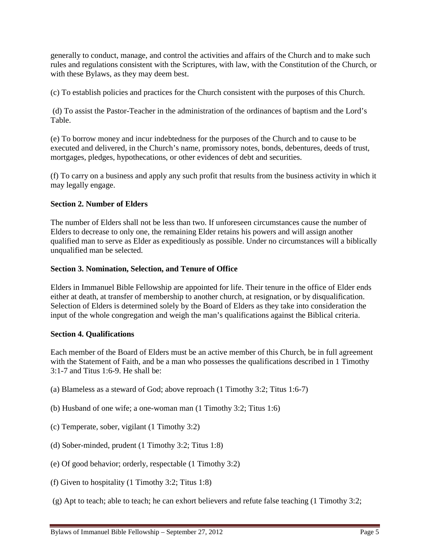generally to conduct, manage, and control the activities and affairs of the Church and to make such rules and regulations consistent with the Scriptures, with law, with the Constitution of the Church, or with these Bylaws, as they may deem best.

(c) To establish policies and practices for the Church consistent with the purposes of this Church.

(d) To assist the Pastor-Teacher in the administration of the ordinances of baptism and the Lord's Table.

(e) To borrow money and incur indebtedness for the purposes of the Church and to cause to be executed and delivered, in the Church's name, promissory notes, bonds, debentures, deeds of trust, mortgages, pledges, hypothecations, or other evidences of debt and securities.

(f) To carry on a business and apply any such profit that results from the business activity in which it may legally engage.

# **Section 2. Number of Elders**

The number of Elders shall not be less than two. If unforeseen circumstances cause the number of Elders to decrease to only one, the remaining Elder retains his powers and will assign another qualified man to serve as Elder as expeditiously as possible. Under no circumstances will a biblically unqualified man be selected.

# **Section 3. Nomination, Selection, and Tenure of Office**

Elders in Immanuel Bible Fellowship are appointed for life. Their tenure in the office of Elder ends either at death, at transfer of membership to another church, at resignation, or by disqualification. Selection of Elders is determined solely by the Board of Elders as they take into consideration the input of the whole congregation and weigh the man's qualifications against the Biblical criteria.

# **Section 4. Qualifications**

Each member of the Board of Elders must be an active member of this Church, be in full agreement with the Statement of Faith, and be a man who possesses the qualifications described in 1 Timothy 3:1-7 and Titus 1:6-9. He shall be:

- (a) Blameless as a steward of God; above reproach (1 Timothy 3:2; Titus 1:6-7)
- (b) Husband of one wife; a one-woman man (1 Timothy 3:2; Titus 1:6)
- (c) Temperate, sober, vigilant (1 Timothy 3:2)
- (d) Sober-minded, prudent (1 Timothy 3:2; Titus 1:8)
- (e) Of good behavior; orderly, respectable (1 Timothy 3:2)
- (f) Given to hospitality (1 Timothy 3:2; Titus 1:8)
- (g) Apt to teach; able to teach; he can exhort believers and refute false teaching (1 Timothy 3:2;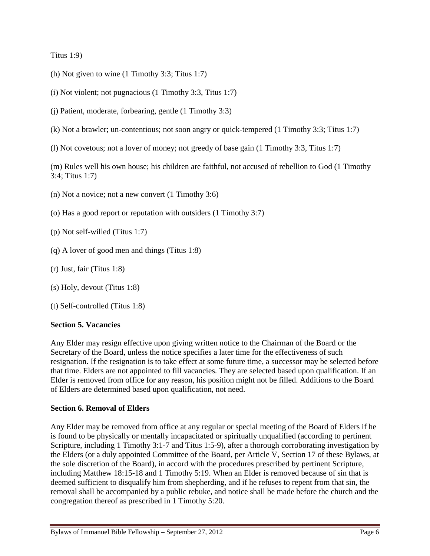Titus 1:9)

- (h) Not given to wine (1 Timothy 3:3; Titus 1:7)
- (i) Not violent; not pugnacious (1 Timothy 3:3, Titus 1:7)
- (j) Patient, moderate, forbearing, gentle (1 Timothy 3:3)
- (k) Not a brawler; un-contentious; not soon angry or quick-tempered (1 Timothy 3:3; Titus 1:7)
- (l) Not covetous; not a lover of money; not greedy of base gain (1 Timothy 3:3, Titus 1:7)

(m) Rules well his own house; his children are faithful, not accused of rebellion to God (1 Timothy 3:4; Titus 1:7)

- (n) Not a novice; not a new convert (1 Timothy 3:6)
- (o) Has a good report or reputation with outsiders (1 Timothy 3:7)
- (p) Not self-willed (Titus 1:7)
- (q) A lover of good men and things (Titus 1:8)
- (r) Just, fair (Titus 1:8)
- (s) Holy, devout (Titus 1:8)
- (t) Self-controlled (Titus 1:8)

# **Section 5. Vacancies**

Any Elder may resign effective upon giving written notice to the Chairman of the Board or the Secretary of the Board, unless the notice specifies a later time for the effectiveness of such resignation. If the resignation is to take effect at some future time, a successor may be selected before that time. Elders are not appointed to fill vacancies. They are selected based upon qualification. If an Elder is removed from office for any reason, his position might not be filled. Additions to the Board of Elders are determined based upon qualification, not need.

# **Section 6. Removal of Elders**

Any Elder may be removed from office at any regular or special meeting of the Board of Elders if he is found to be physically or mentally incapacitated or spiritually unqualified (according to pertinent Scripture, including 1 Timothy 3:1-7 and Titus 1:5-9), after a thorough corroborating investigation by the Elders (or a duly appointed Committee of the Board, per Article V, Section 17 of these Bylaws, at the sole discretion of the Board), in accord with the procedures prescribed by pertinent Scripture, including Matthew 18:15-18 and 1 Timothy 5:19. When an Elder is removed because of sin that is deemed sufficient to disqualify him from shepherding, and if he refuses to repent from that sin, the removal shall be accompanied by a public rebuke, and notice shall be made before the church and the congregation thereof as prescribed in 1 Timothy 5:20.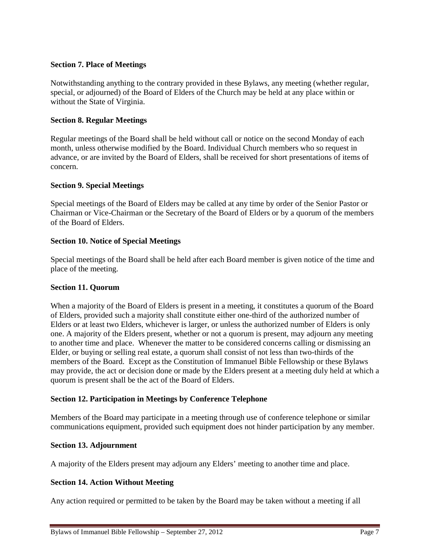# **Section 7. Place of Meetings**

Notwithstanding anything to the contrary provided in these Bylaws, any meeting (whether regular, special, or adjourned) of the Board of Elders of the Church may be held at any place within or without the State of Virginia.

# **Section 8. Regular Meetings**

Regular meetings of the Board shall be held without call or notice on the second Monday of each month, unless otherwise modified by the Board. Individual Church members who so request in advance, or are invited by the Board of Elders, shall be received for short presentations of items of concern.

# **Section 9. Special Meetings**

Special meetings of the Board of Elders may be called at any time by order of the Senior Pastor or Chairman or Vice-Chairman or the Secretary of the Board of Elders or by a quorum of the members of the Board of Elders.

# **Section 10. Notice of Special Meetings**

Special meetings of the Board shall be held after each Board member is given notice of the time and place of the meeting.

# **Section 11. Quorum**

When a majority of the Board of Elders is present in a meeting, it constitutes a quorum of the Board of Elders, provided such a majority shall constitute either one-third of the authorized number of Elders or at least two Elders, whichever is larger, or unless the authorized number of Elders is only one. A majority of the Elders present, whether or not a quorum is present, may adjourn any meeting to another time and place. Whenever the matter to be considered concerns calling or dismissing an Elder, or buying or selling real estate, a quorum shall consist of not less than two-thirds of the members of the Board. Except as the Constitution of Immanuel Bible Fellowship or these Bylaws may provide, the act or decision done or made by the Elders present at a meeting duly held at which a quorum is present shall be the act of the Board of Elders.

# **Section 12. Participation in Meetings by Conference Telephone**

Members of the Board may participate in a meeting through use of conference telephone or similar communications equipment, provided such equipment does not hinder participation by any member.

# **Section 13. Adjournment**

A majority of the Elders present may adjourn any Elders' meeting to another time and place.

# **Section 14. Action Without Meeting**

Any action required or permitted to be taken by the Board may be taken without a meeting if all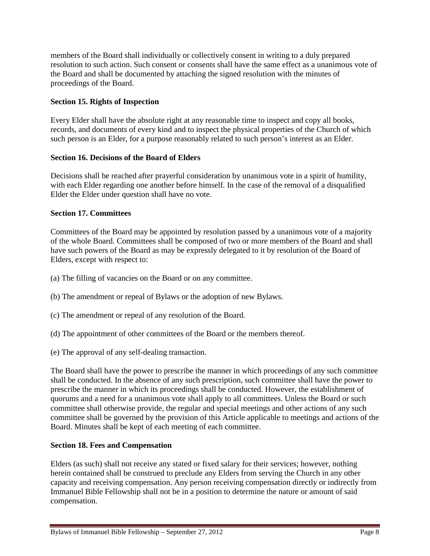members of the Board shall individually or collectively consent in writing to a duly prepared resolution to such action. Such consent or consents shall have the same effect as a unanimous vote of the Board and shall be documented by attaching the signed resolution with the minutes of proceedings of the Board.

# **Section 15. Rights of Inspection**

Every Elder shall have the absolute right at any reasonable time to inspect and copy all books, records, and documents of every kind and to inspect the physical properties of the Church of which such person is an Elder, for a purpose reasonably related to such person's interest as an Elder.

# **Section 16. Decisions of the Board of Elders**

Decisions shall be reached after prayerful consideration by unanimous vote in a spirit of humility, with each Elder regarding one another before himself. In the case of the removal of a disqualified Elder the Elder under question shall have no vote.

# **Section 17. Committees**

Committees of the Board may be appointed by resolution passed by a unanimous vote of a majority of the whole Board. Committees shall be composed of two or more members of the Board and shall have such powers of the Board as may be expressly delegated to it by resolution of the Board of Elders, except with respect to:

- (a) The filling of vacancies on the Board or on any committee.
- (b) The amendment or repeal of Bylaws or the adoption of new Bylaws.
- (c) The amendment or repeal of any resolution of the Board.
- (d) The appointment of other committees of the Board or the members thereof.
- (e) The approval of any self-dealing transaction.

The Board shall have the power to prescribe the manner in which proceedings of any such committee shall be conducted. In the absence of any such prescription, such committee shall have the power to prescribe the manner in which its proceedings shall be conducted. However, the establishment of quorums and a need for a unanimous vote shall apply to all committees. Unless the Board or such committee shall otherwise provide, the regular and special meetings and other actions of any such committee shall be governed by the provision of this Article applicable to meetings and actions of the Board. Minutes shall be kept of each meeting of each committee.

# **Section 18. Fees and Compensation**

Elders (as such) shall not receive any stated or fixed salary for their services; however, nothing herein contained shall be construed to preclude any Elders from serving the Church in any other capacity and receiving compensation. Any person receiving compensation directly or indirectly from Immanuel Bible Fellowship shall not be in a position to determine the nature or amount of said compensation.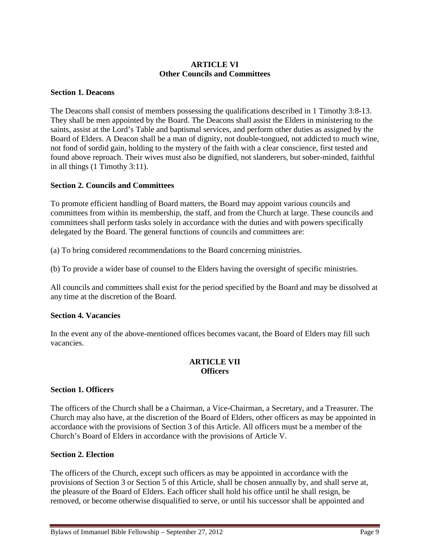# **ARTICLE VI Other Councils and Committees**

### **Section 1. Deacons**

The Deacons shall consist of members possessing the qualifications described in 1 Timothy 3:8-13. They shall be men appointed by the Board. The Deacons shall assist the Elders in ministering to the saints, assist at the Lord's Table and baptismal services, and perform other duties as assigned by the Board of Elders. A Deacon shall be a man of dignity, not double-tongued, not addicted to much wine, not fond of sordid gain, holding to the mystery of the faith with a clear conscience, first tested and found above reproach. Their wives must also be dignified, not slanderers, but sober-minded, faithful in all things (1 Timothy 3:11).

#### **Section 2. Councils and Committees**

To promote efficient handling of Board matters, the Board may appoint various councils and committees from within its membership, the staff, and from the Church at large. These councils and committees shall perform tasks solely in accordance with the duties and with powers specifically delegated by the Board. The general functions of councils and committees are:

(a) To bring considered recommendations to the Board concerning ministries.

(b) To provide a wider base of counsel to the Elders having the oversight of specific ministries.

All councils and committees shall exist for the period specified by the Board and may be dissolved at any time at the discretion of the Board.

#### **Section 4. Vacancies**

In the event any of the above-mentioned offices becomes vacant, the Board of Elders may fill such vacancies.

# **ARTICLE VII Officers**

#### **Section 1. Officers**

The officers of the Church shall be a Chairman, a Vice-Chairman, a Secretary, and a Treasurer. The Church may also have, at the discretion of the Board of Elders, other officers as may be appointed in accordance with the provisions of Section 3 of this Article. All officers must be a member of the Church's Board of Elders in accordance with the provisions of Article V.

#### **Section 2. Election**

The officers of the Church, except such officers as may be appointed in accordance with the provisions of Section 3 or Section 5 of this Article, shall be chosen annually by, and shall serve at, the pleasure of the Board of Elders. Each officer shall hold his office until he shall resign, be removed, or become otherwise disqualified to serve, or until his successor shall be appointed and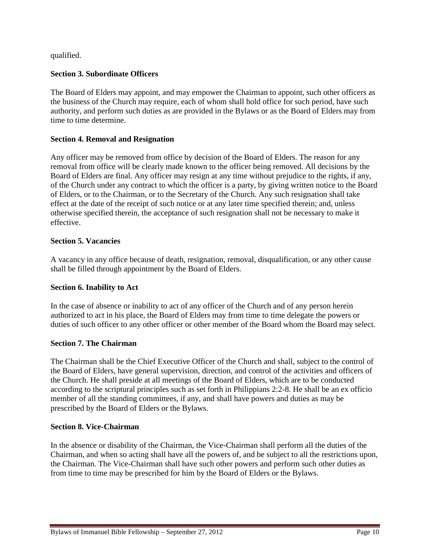qualified.

# **Section 3. Subordinate Officers**

The Board of Elders may appoint, and may empower the Chairman to appoint, such other officers as the business of the Church may require, each of whom shall hold office for such period, have such authority, and perform such duties as are provided in the Bylaws or as the Board of Elders may from time to time determine.

# **Section 4. Removal and Resignation**

Any officer may be removed from office by decision of the Board of Elders. The reason for any removal from office will be clearly made known to the officer being removed. All decisions by the Board of Elders are final. Any officer may resign at any time without prejudice to the rights, if any, of the Church under any contract to which the officer is a party, by giving written notice to the Board of Elders, or to the Chairman, or to the Secretary of the Church. Any such resignation shall take effect at the date of the receipt of such notice or at any later time specified therein; and, unless otherwise specified therein, the acceptance of such resignation shall not be necessary to make it effective.

# **Section 5. Vacancies**

A vacancy in any office because of death, resignation, removal, disqualification, or any other cause shall be filled through appointment by the Board of Elders.

# **Section 6. Inability to Act**

In the case of absence or inability to act of any officer of the Church and of any person herein authorized to act in his place, the Board of Elders may from time to time delegate the powers or duties of such officer to any other officer or other member of the Board whom the Board may select.

# **Section 7. The Chairman**

The Chairman shall be the Chief Executive Officer of the Church and shall, subject to the control of the Board of Elders, have general supervision, direction, and control of the activities and officers of the Church. He shall preside at all meetings of the Board of Elders, which are to be conducted according to the scriptural principles such as set forth in Philippians 2:2-8. He shall be an ex officio member of all the standing committees, if any, and shall have powers and duties as may be prescribed by the Board of Elders or the Bylaws.

# **Section 8. Vice-Chairman**

In the absence or disability of the Chairman, the Vice-Chairman shall perform all the duties of the Chairman, and when so acting shall have all the powers of, and be subject to all the restrictions upon, the Chairman. The Vice-Chairman shall have such other powers and perform such other duties as from time to time may be prescribed for him by the Board of Elders or the Bylaws.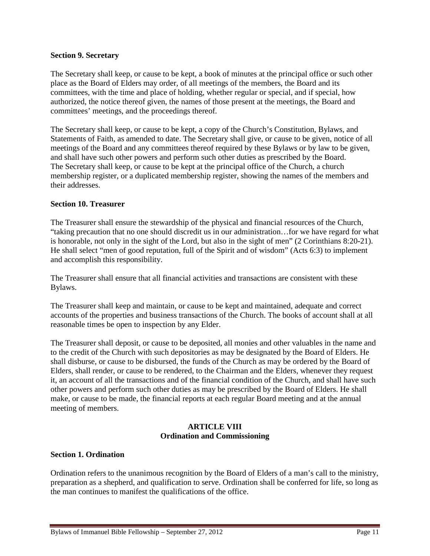#### **Section 9. Secretary**

The Secretary shall keep, or cause to be kept, a book of minutes at the principal office or such other place as the Board of Elders may order, of all meetings of the members, the Board and its committees, with the time and place of holding, whether regular or special, and if special, how authorized, the notice thereof given, the names of those present at the meetings, the Board and committees' meetings, and the proceedings thereof.

The Secretary shall keep, or cause to be kept, a copy of the Church's Constitution, Bylaws, and Statements of Faith, as amended to date. The Secretary shall give, or cause to be given, notice of all meetings of the Board and any committees thereof required by these Bylaws or by law to be given, and shall have such other powers and perform such other duties as prescribed by the Board. The Secretary shall keep, or cause to be kept at the principal office of the Church, a church membership register, or a duplicated membership register, showing the names of the members and their addresses.

### **Section 10. Treasurer**

The Treasurer shall ensure the stewardship of the physical and financial resources of the Church, "taking precaution that no one should discredit us in our administration…for we have regard for what is honorable, not only in the sight of the Lord, but also in the sight of men" (2 Corinthians 8:20-21). He shall select "men of good reputation, full of the Spirit and of wisdom" (Acts 6:3) to implement and accomplish this responsibility.

The Treasurer shall ensure that all financial activities and transactions are consistent with these Bylaws.

The Treasurer shall keep and maintain, or cause to be kept and maintained, adequate and correct accounts of the properties and business transactions of the Church. The books of account shall at all reasonable times be open to inspection by any Elder.

The Treasurer shall deposit, or cause to be deposited, all monies and other valuables in the name and to the credit of the Church with such depositories as may be designated by the Board of Elders. He shall disburse, or cause to be disbursed, the funds of the Church as may be ordered by the Board of Elders, shall render, or cause to be rendered, to the Chairman and the Elders, whenever they request it, an account of all the transactions and of the financial condition of the Church, and shall have such other powers and perform such other duties as may be prescribed by the Board of Elders. He shall make, or cause to be made, the financial reports at each regular Board meeting and at the annual meeting of members.

# **ARTICLE VIII Ordination and Commissioning**

#### **Section 1. Ordination**

Ordination refers to the unanimous recognition by the Board of Elders of a man's call to the ministry, preparation as a shepherd, and qualification to serve. Ordination shall be conferred for life, so long as the man continues to manifest the qualifications of the office.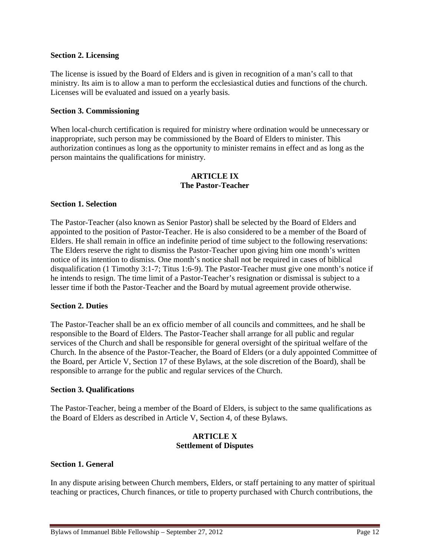#### **Section 2. Licensing**

The license is issued by the Board of Elders and is given in recognition of a man's call to that ministry. Its aim is to allow a man to perform the ecclesiastical duties and functions of the church. Licenses will be evaluated and issued on a yearly basis.

#### **Section 3. Commissioning**

When local-church certification is required for ministry where ordination would be unnecessary or inappropriate, such person may be commissioned by the Board of Elders to minister. This authorization continues as long as the opportunity to minister remains in effect and as long as the person maintains the qualifications for ministry.

### **ARTICLE IX The Pastor-Teacher**

#### **Section 1. Selection**

The Pastor-Teacher (also known as Senior Pastor) shall be selected by the Board of Elders and appointed to the position of Pastor-Teacher. He is also considered to be a member of the Board of Elders. He shall remain in office an indefinite period of time subject to the following reservations: The Elders reserve the right to dismiss the Pastor-Teacher upon giving him one month's written notice of its intention to dismiss. One month's notice shall not be required in cases of biblical disqualification (1 Timothy 3:1-7; Titus 1:6-9). The Pastor-Teacher must give one month's notice if he intends to resign. The time limit of a Pastor-Teacher's resignation or dismissal is subject to a lesser time if both the Pastor-Teacher and the Board by mutual agreement provide otherwise.

#### **Section 2. Duties**

The Pastor-Teacher shall be an ex officio member of all councils and committees, and he shall be responsible to the Board of Elders. The Pastor-Teacher shall arrange for all public and regular services of the Church and shall be responsible for general oversight of the spiritual welfare of the Church. In the absence of the Pastor-Teacher, the Board of Elders (or a duly appointed Committee of the Board, per Article V, Section 17 of these Bylaws, at the sole discretion of the Board), shall be responsible to arrange for the public and regular services of the Church.

#### **Section 3. Qualifications**

The Pastor-Teacher, being a member of the Board of Elders, is subject to the same qualifications as the Board of Elders as described in Article V, Section 4, of these Bylaws.

#### **ARTICLE X Settlement of Disputes**

#### **Section 1. General**

In any dispute arising between Church members, Elders, or staff pertaining to any matter of spiritual teaching or practices, Church finances, or title to property purchased with Church contributions, the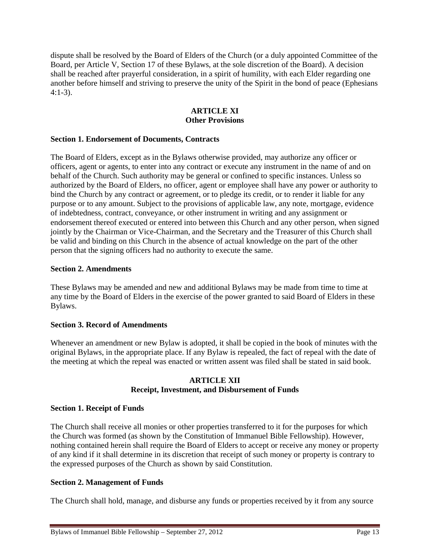dispute shall be resolved by the Board of Elders of the Church (or a duly appointed Committee of the Board, per Article V, Section 17 of these Bylaws, at the sole discretion of the Board). A decision shall be reached after prayerful consideration, in a spirit of humility, with each Elder regarding one another before himself and striving to preserve the unity of the Spirit in the bond of peace (Ephesians 4:1-3).

# **ARTICLE XI Other Provisions**

# **Section 1. Endorsement of Documents, Contracts**

The Board of Elders, except as in the Bylaws otherwise provided, may authorize any officer or officers, agent or agents, to enter into any contract or execute any instrument in the name of and on behalf of the Church. Such authority may be general or confined to specific instances. Unless so authorized by the Board of Elders, no officer, agent or employee shall have any power or authority to bind the Church by any contract or agreement, or to pledge its credit, or to render it liable for any purpose or to any amount. Subject to the provisions of applicable law, any note, mortgage, evidence of indebtedness, contract, conveyance, or other instrument in writing and any assignment or endorsement thereof executed or entered into between this Church and any other person, when signed jointly by the Chairman or Vice-Chairman, and the Secretary and the Treasurer of this Church shall be valid and binding on this Church in the absence of actual knowledge on the part of the other person that the signing officers had no authority to execute the same.

#### **Section 2. Amendments**

These Bylaws may be amended and new and additional Bylaws may be made from time to time at any time by the Board of Elders in the exercise of the power granted to said Board of Elders in these Bylaws.

# **Section 3. Record of Amendments**

Whenever an amendment or new Bylaw is adopted, it shall be copied in the book of minutes with the original Bylaws, in the appropriate place. If any Bylaw is repealed, the fact of repeal with the date of the meeting at which the repeal was enacted or written assent was filed shall be stated in said book.

# **ARTICLE XII Receipt, Investment, and Disbursement of Funds**

# **Section 1. Receipt of Funds**

The Church shall receive all monies or other properties transferred to it for the purposes for which the Church was formed (as shown by the Constitution of Immanuel Bible Fellowship). However, nothing contained herein shall require the Board of Elders to accept or receive any money or property of any kind if it shall determine in its discretion that receipt of such money or property is contrary to the expressed purposes of the Church as shown by said Constitution.

# **Section 2. Management of Funds**

The Church shall hold, manage, and disburse any funds or properties received by it from any source